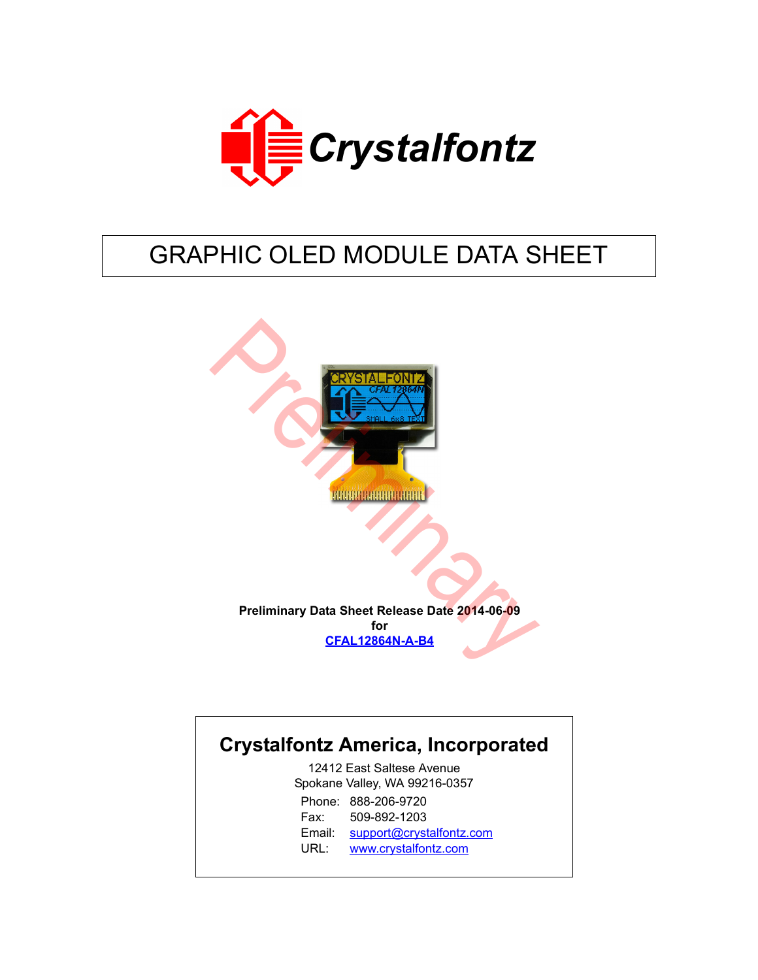

# GRAPHIC OLED MODULE DATA SHEET



# **Crystalfontz America, Incorporated**

12412 East Saltese Avenue Spokane Valley, WA 99216-0357 Phone: 888-206-9720 Fax: 509-892-1203 Email: [support@crystalfontz.com](mailto:support@crystalfontz.com) URL: [www.crystalfontz.com](http://www.crystalfontz.com)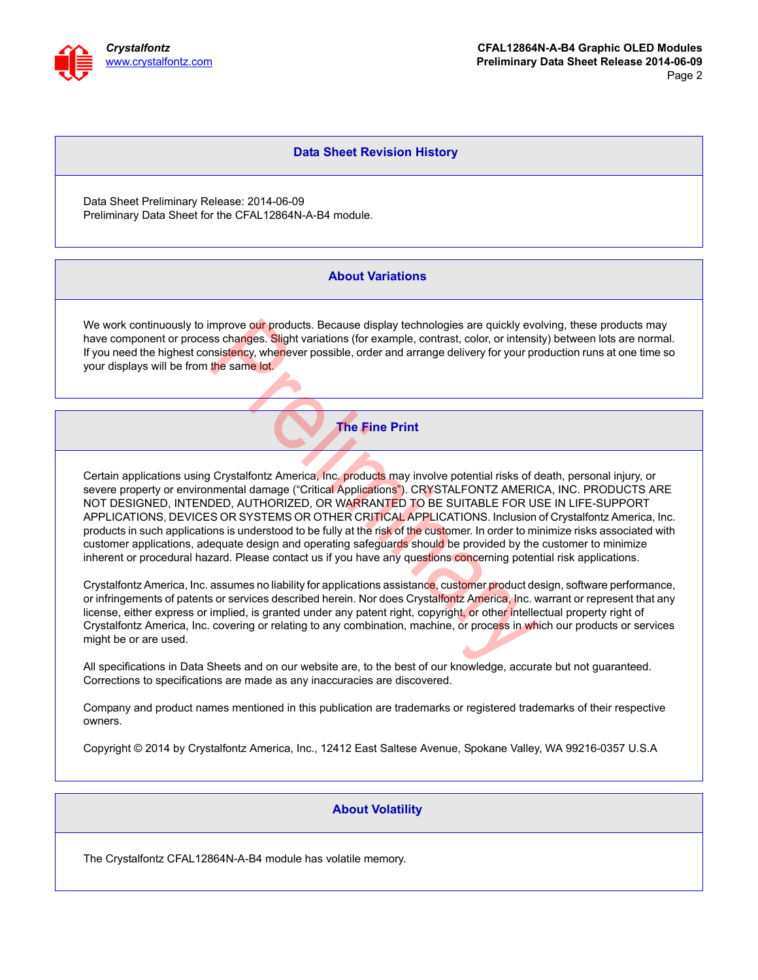

#### **Data Sheet Revision History**

Data Sheet Preliminary Release: 2014-06-09 Preliminary Data Sheet for the CFAL12864N-A-B4 module.

#### **About Variations**

We work continuously to improve our products. Because display technologies are quickly evolving, these products may have component or process changes. Slight variations (for example, contrast, color, or intensity) between lots are normal. If you need the highest consistency, whenever possible, order and arrange delivery for your production runs at one time so your displays will be from the same lot.

**The Fine Print**

Certain applications using Crystalfontz America, Inc. products may involve potential risks of death, personal injury, or severe property or environmental damage ("Critical Applications"). CRYSTALFONTZ AMERICA, INC. PRODUCTS ARE NOT DESIGNED, INTENDED, AUTHORIZED, OR WARRANTED TO BE SUITABLE FOR USE IN LIFE-SUPPORT APPLICATIONS, DEVICES OR SYSTEMS OR OTHER CRITICAL APPLICATIONS. Inclusion of Crystalfontz America, Inc. products in such applications is understood to be fully at the risk of the customer. In order to minimize risks associated with customer applications, adequate design and operating safeguards should be provided by the customer to minimize inherent or procedural hazard. Please contact us if you have any questions concerning potential risk applications. mprove our products. Because display technologies are quickly evos changes. Slight variations (for example, contrast, color, or intensitive insistency, whenever possible, order and arrange delivery for your provides since,

Crystalfontz America, Inc. assumes no liability for applications assistance, customer product design, software performance, or infringements of patents or services described herein. Nor does Crystalfontz America, Inc. warrant or represent that any license, either express or implied, is granted under any patent right, copyright, or other intellectual property right of Crystalfontz America, Inc. covering or relating to any combination, machine, or process in which our products or services might be or are used.

All specifications in Data Sheets and on our website are, to the best of our knowledge, accurate but not guaranteed. Corrections to specifications are made as any inaccuracies are discovered.

Company and product names mentioned in this publication are trademarks or registered trademarks of their respective owners.

Copyright © 2014 by Crystalfontz America, Inc., 12412 East Saltese Avenue, Spokane Valley, WA 99216-0357 U.S.A

#### **About Volatility**

The Crystalfontz CFAL12864N-A-B4 module has volatile memory.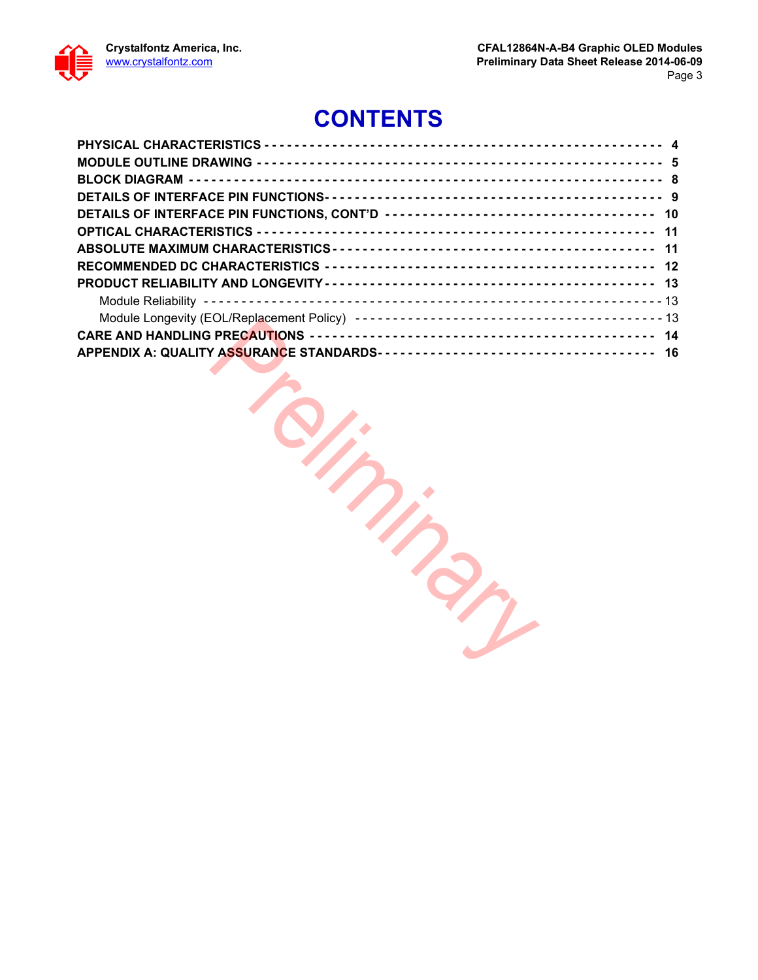# **CONTENTS**

| DETAILS OF INTERFACE PIN FUNCTIONS, CONT'D ----------------------------------- 10 |  |
|-----------------------------------------------------------------------------------|--|
|                                                                                   |  |
|                                                                                   |  |
|                                                                                   |  |
|                                                                                   |  |
|                                                                                   |  |
|                                                                                   |  |
|                                                                                   |  |
|                                                                                   |  |

Text Mind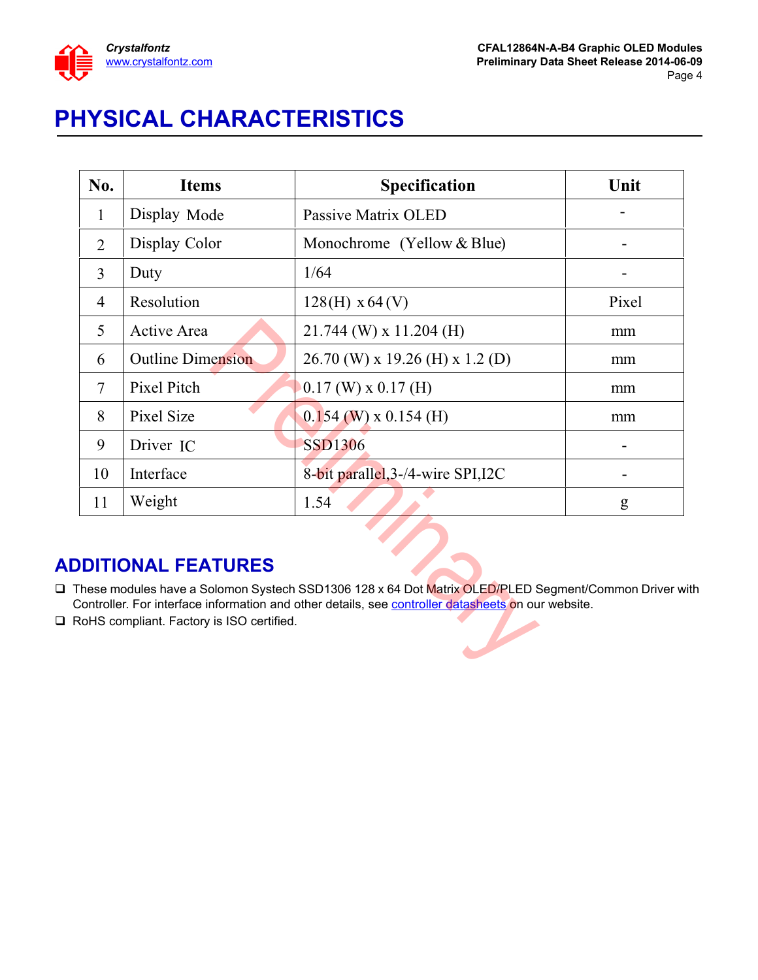

# <span id="page-3-0"></span>**PHYSICAL CHARACTERISTICS**

| No.                                                                                                                                                                                                                                                                               | <b>Items</b>             | <b>Specification</b>               | Unit  |  |  |
|-----------------------------------------------------------------------------------------------------------------------------------------------------------------------------------------------------------------------------------------------------------------------------------|--------------------------|------------------------------------|-------|--|--|
| $\mathbf{1}$                                                                                                                                                                                                                                                                      | Display Mode             | Passive Matrix OLED                |       |  |  |
| $\overline{2}$                                                                                                                                                                                                                                                                    | Display Color            | Monochrome (Yellow $&Blue$ )       |       |  |  |
| 3                                                                                                                                                                                                                                                                                 | Duty                     | 1/64                               |       |  |  |
| 4                                                                                                                                                                                                                                                                                 | Resolution               | $128(H) \times 64(V)$              | Pixel |  |  |
| 5                                                                                                                                                                                                                                                                                 | Active Area              | $21.744$ (W) x 11.204 (H)          | mm    |  |  |
| 6                                                                                                                                                                                                                                                                                 | <b>Outline Dimension</b> | 26.70 (W) x 19.26 (H) x 1.2 (D)    | mm    |  |  |
| $\tau$                                                                                                                                                                                                                                                                            | Pixel Pitch              | $0.17$ (W) x 0.17 (H)              | mm    |  |  |
| 8                                                                                                                                                                                                                                                                                 | Pixel Size               | $0.154$ (W) x 0.154 (H)            | mm    |  |  |
| 9                                                                                                                                                                                                                                                                                 | Driver IC                | <b>SSD1306</b>                     |       |  |  |
| 10                                                                                                                                                                                                                                                                                | Interface                | 8-bit parallel, 3-/4-wire SPI, I2C |       |  |  |
| 11                                                                                                                                                                                                                                                                                | Weight                   | 1.54                               | g     |  |  |
| <b>DITIONAL FEATURES</b><br>Fhese modules have a Solomon Systech SSD1306 128 x 64 Dot Matrix OLED/PLED Segment/Common Driver w<br>Controller. For interface information and other details, see controller datasheets on our website.<br>RoHS compliant. Factory is ISO certified. |                          |                                    |       |  |  |

#### **ADDITIONAL FEATURES**

- □ These modules have a Solomon Systech SSD1306 128 x 64 Dot Matrix OLED/PLED Segment/Common Driver with Controller. For interface information and other details, see controller datasheets on our website.
- □ RoHS compliant. Factory is ISO certified.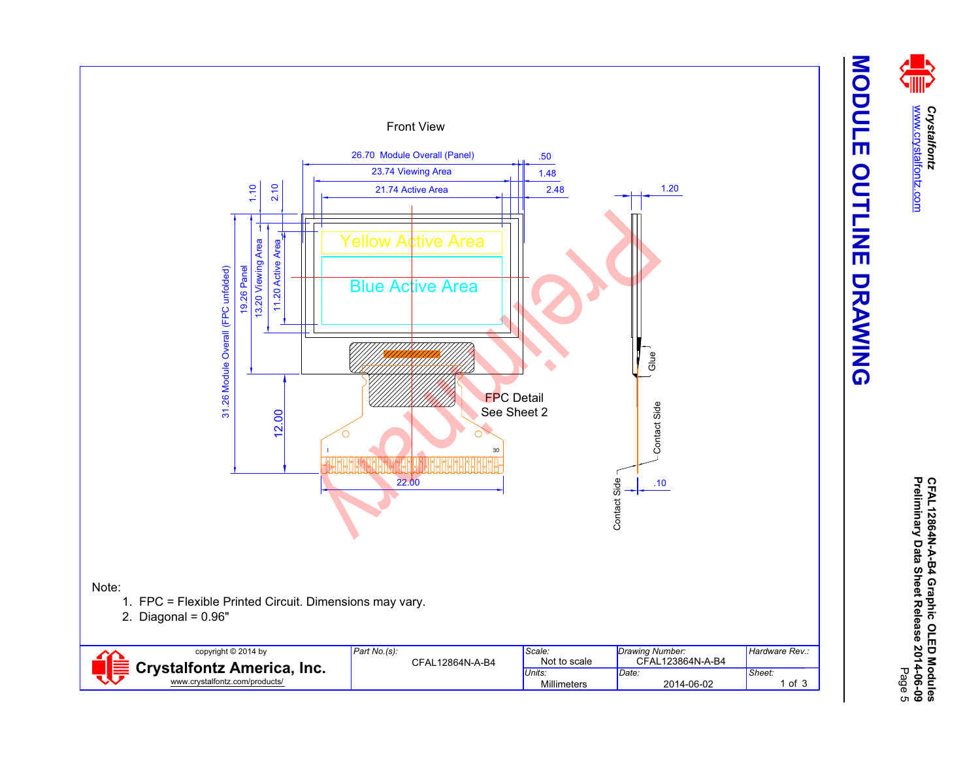

<span id="page-4-0"></span>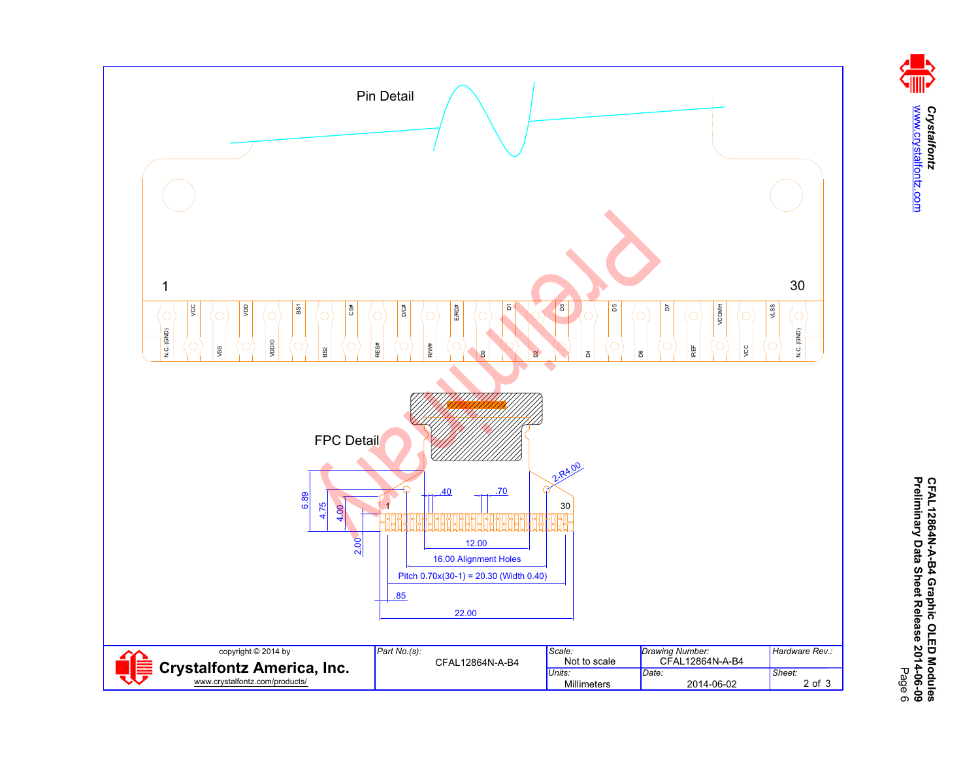

Crystalfontz<br>www.crystalfontz.com [www.crystalfontz.com](http://www.crystalfontz.com) *Crystalfontz*

**[CFAL12864N-A-B4 Graphic OLED Modules](#page--1-2) [Preliminary Data Sheet Release 2014-06-09](#page--1-3)** CFAL12864N-A-B4 Graphic OLED Modules<br>Preliminary Data Sheet Release 2014-06-09<br>Preliminary Data Sheet Release 2014-06-09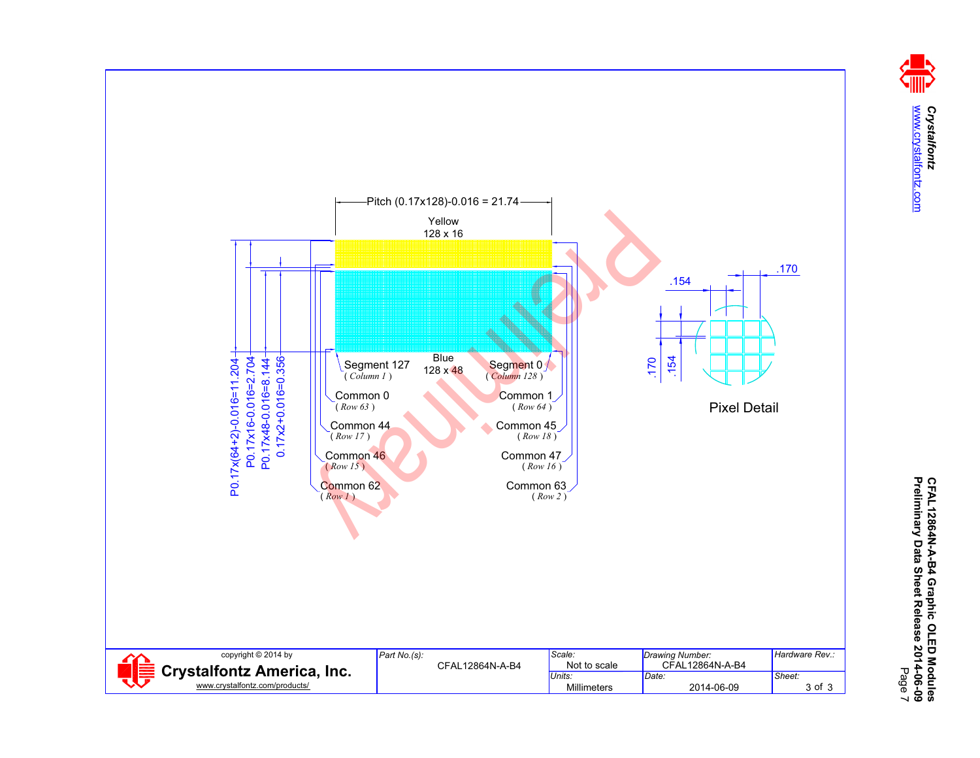

**[CFAL12864N-A-B4 Graphic OLED Modules](#page--1-2) [Preliminary Data Sheet Release 2014-06-09](#page--1-3)** CFAL12864N-A-B4 Graphic OLED Modules<br>Preliminary Data Sheet Release 2014-06-09<br>Preliminary Data Sheet Release 2014-06-09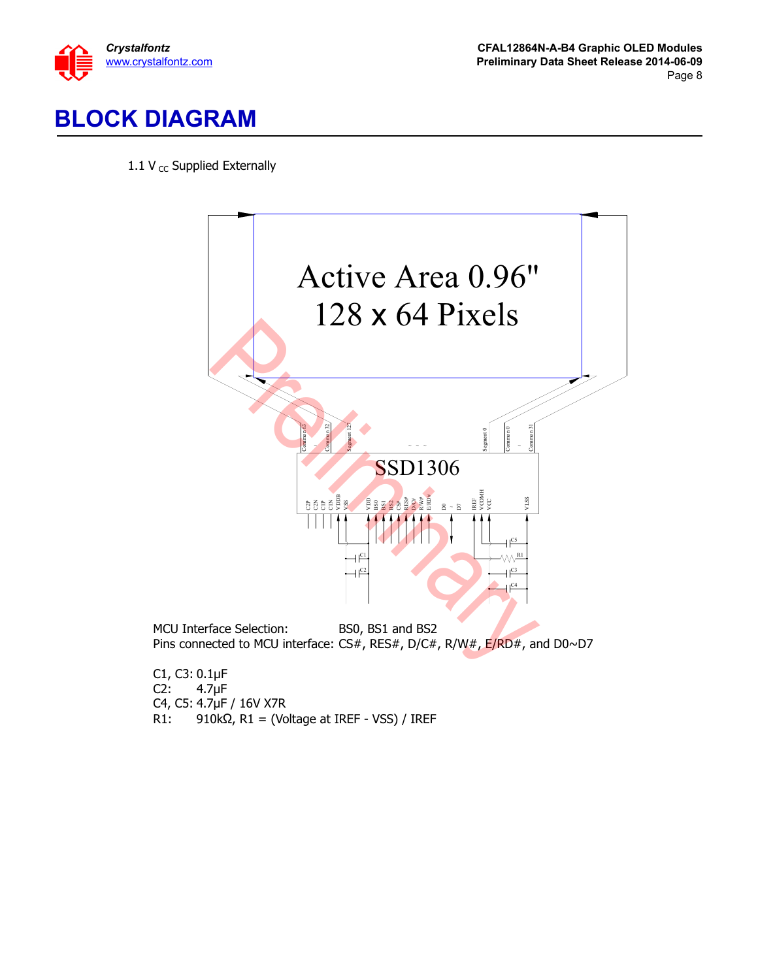

#### <span id="page-7-0"></span>**BLOCK DIAGRAM**  $\ddot{\phantom{0}}$

1.1 V  $_{\text{CC}}$  Supplied Externally



C1, C3:  $0.1 \mu F$ <br>C2:  $4.7 \mu F$  $4.7<sub>µF</sub>$ C4, C5: 4.7µF / 16V X7R R1:  $910k\Omega$ , R1 = (Voltage at IREF - VSS) / IREF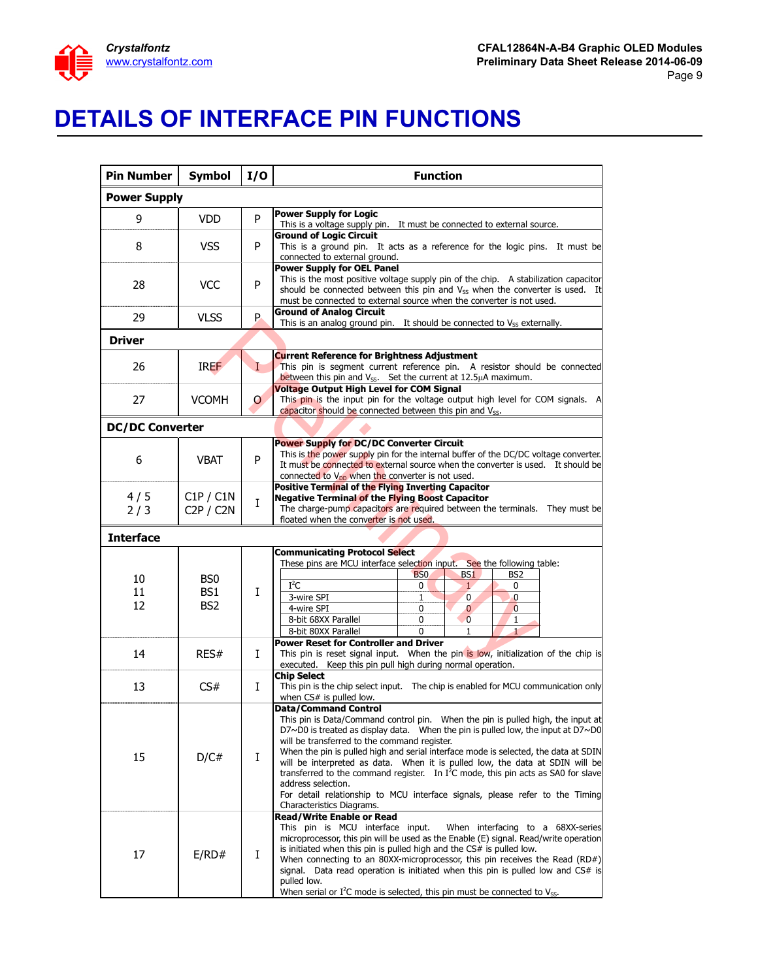

# <span id="page-8-0"></span>**DETAILS OF INTERFACE PIN FUNCTIONS**

| <b>Pin Number</b>      | <b>Symbol</b>                             | I/O      | <b>Function</b>                                                                                                                                                                                                                                                                                                                                                                                                                                                                                                                                                                                                                                                    |  |  |  |
|------------------------|-------------------------------------------|----------|--------------------------------------------------------------------------------------------------------------------------------------------------------------------------------------------------------------------------------------------------------------------------------------------------------------------------------------------------------------------------------------------------------------------------------------------------------------------------------------------------------------------------------------------------------------------------------------------------------------------------------------------------------------------|--|--|--|
| <b>Power Supply</b>    |                                           |          |                                                                                                                                                                                                                                                                                                                                                                                                                                                                                                                                                                                                                                                                    |  |  |  |
| 9                      | <b>VDD</b>                                | P        | <b>Power Supply for Logic</b><br>This is a voltage supply pin. It must be connected to external source.                                                                                                                                                                                                                                                                                                                                                                                                                                                                                                                                                            |  |  |  |
| 8                      | <b>VSS</b>                                | P        | <b>Ground of Logic Circuit</b><br>This is a ground pin. It acts as a reference for the logic pins. It must be<br>connected to external ground.                                                                                                                                                                                                                                                                                                                                                                                                                                                                                                                     |  |  |  |
| 28                     | <b>VCC</b>                                | P        | <b>Power Supply for OEL Panel</b><br>This is the most positive voltage supply pin of the chip. A stabilization capacitor<br>should be connected between this pin and $V_{ss}$ when the converter is used. It<br>must be connected to external source when the converter is not used.                                                                                                                                                                                                                                                                                                                                                                               |  |  |  |
| 29                     | <b>VLSS</b>                               | P.       | <b>Ground of Analog Circuit</b><br>This is an analog ground pin. It should be connected to V <sub>SS</sub> externally.                                                                                                                                                                                                                                                                                                                                                                                                                                                                                                                                             |  |  |  |
| <b>Driver</b>          |                                           |          |                                                                                                                                                                                                                                                                                                                                                                                                                                                                                                                                                                                                                                                                    |  |  |  |
| 26                     | <b>IREF</b>                               | Т        | <b>Current Reference for Brightness Adjustment</b><br>This pin is segment current reference pin. A resistor should be connected<br>between this pin and $V_{SS}$ . Set the current at 12.5 $\mu$ A maximum.                                                                                                                                                                                                                                                                                                                                                                                                                                                        |  |  |  |
| 27                     | <b>VCOMH</b>                              | 0.       | <b>Voltage Output High Level for COM Signal</b><br>This pin is the input pin for the voltage output high level for COM signals. A<br>capacitor should be connected between this pin and Vss.                                                                                                                                                                                                                                                                                                                                                                                                                                                                       |  |  |  |
| <b>DC/DC Converter</b> |                                           |          |                                                                                                                                                                                                                                                                                                                                                                                                                                                                                                                                                                                                                                                                    |  |  |  |
| 6                      | <b>VBAT</b>                               | P        | <b>Power Supply for DC/DC Converter Circuit</b><br>This is the power supply pin for the internal buffer of the DC/DC voltage converter.<br>It must be connected to external source when the converter is used. It should be<br>connected to V <sub>DD</sub> when the converter is not used.                                                                                                                                                                                                                                                                                                                                                                        |  |  |  |
| 4/5<br>2/3             | C1P / C1N<br>C2P / C2N                    | Ι        | Positive Terminal of the Flying Inverting Capacitor<br><b>Negative Terminal of the Flying Boost Capacitor</b><br>The charge-pump capacitors are required between the terminals. They must be<br>floated when the converter is not used.                                                                                                                                                                                                                                                                                                                                                                                                                            |  |  |  |
| <b>Interface</b>       |                                           |          |                                                                                                                                                                                                                                                                                                                                                                                                                                                                                                                                                                                                                                                                    |  |  |  |
| 10<br>11<br>12         | BS <sub>0</sub><br>BS1<br>BS <sub>2</sub> | $\bf{I}$ | <b>Communicating Protocol Select</b><br>These pins are MCU interface selection input. See the following table:<br>BS <sub>0</sub><br>BS1<br>BS <sub>2</sub><br>$I^2C$<br>$\mathbf{1}^{\prime}$<br>0 <sup>1</sup><br>0<br>3-wire SPI<br>$\overline{0}$<br>1<br>0<br>4-wire SPI<br>0<br>$\mathbf{0}$<br>$\mathbf{0}$<br>8-bit 68XX Parallel<br>0<br>$\overline{0}$<br>1<br>8-bit 80XX Parallel<br>0<br>$\mathbf{1}$<br>$\mathbf{1}$                                                                                                                                                                                                                                  |  |  |  |
| 14                     | RES#                                      | Ι.       | <b>Power Reset for Controller and Driver</b><br>This pin is reset signal input. When the pin is low, initialization of the chip is                                                                                                                                                                                                                                                                                                                                                                                                                                                                                                                                 |  |  |  |
| 13                     | CS#                                       | Ι        | executed. Keep this pin pull high during normal operation.<br><b>Chip Select</b><br>This pin is the chip select input. The chip is enabled for MCU communication only<br>when CS# is pulled low.                                                                                                                                                                                                                                                                                                                                                                                                                                                                   |  |  |  |
| 15                     | D/C#                                      | I        | <b>Data/Command Control</b><br>This pin is Data/Command control pin.  When the pin is pulled high, the input at<br>$D7~\sim$ D0 is treated as display data. When the pin is pulled low, the input at $D7~\sim$ D0<br>will be transferred to the command register.<br>When the pin is pulled high and serial interface mode is selected, the data at SDIN<br>will be interpreted as data. When it is pulled low, the data at SDIN will be<br>transferred to the command register. In $I^2C$ mode, this pin acts as SA0 for slave<br>address selection.<br>For detail relationship to MCU interface signals, please refer to the Timing<br>Characteristics Diagrams. |  |  |  |
| 17                     | E/RD#                                     | I        | <b>Read/Write Enable or Read</b><br>This pin is MCU interface input.<br>When interfacing to a 68XX-series<br>microprocessor, this pin will be used as the Enable (E) signal. Read/write operation<br>is initiated when this pin is pulled high and the CS# is pulled low.<br>When connecting to an 80XX-microprocessor, this pin receives the Read $(RD#)$<br>signal. Data read operation is initiated when this pin is pulled low and CS# is<br>pulled low.<br>When serial or $I^2C$ mode is selected, this pin must be connected to $V_{SS}$ .                                                                                                                   |  |  |  |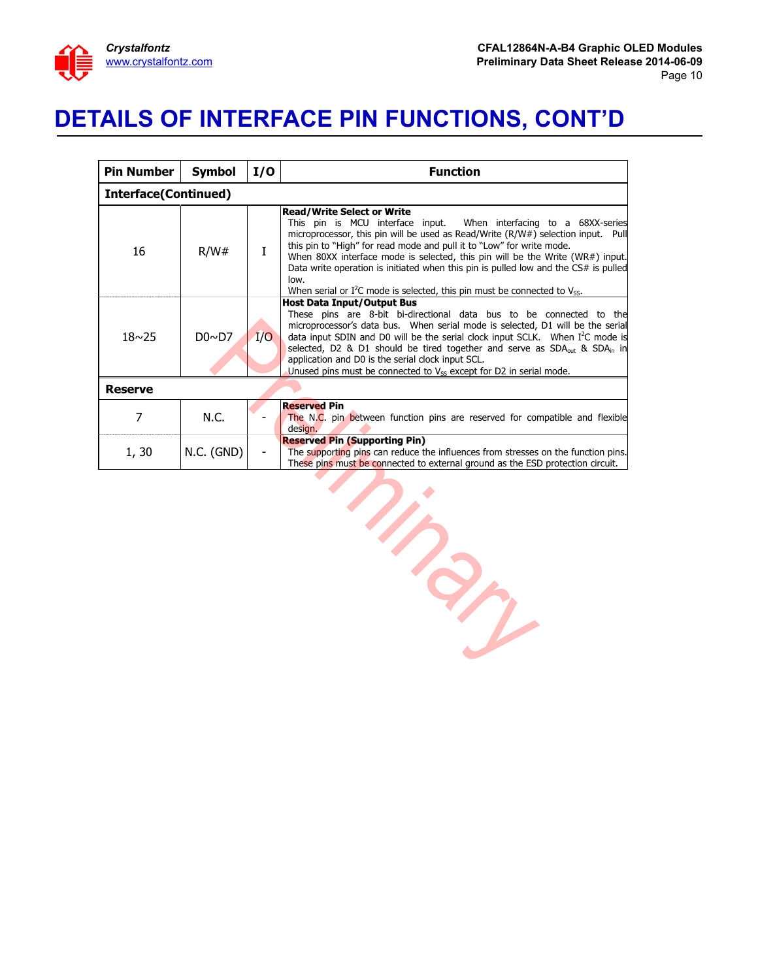

# <span id="page-9-0"></span>**DETAILS OF INTERFACE PIN FUNCTIONS, CONT'D**

| <b>Pin Number</b>           | <b>Symbol</b> | I/O | <b>Function</b>                                                                                                                                                                                                                                                                                                                                                                                                                                                                                                                             |  |  |  |  |
|-----------------------------|---------------|-----|---------------------------------------------------------------------------------------------------------------------------------------------------------------------------------------------------------------------------------------------------------------------------------------------------------------------------------------------------------------------------------------------------------------------------------------------------------------------------------------------------------------------------------------------|--|--|--|--|
| <b>Interface(Continued)</b> |               |     |                                                                                                                                                                                                                                                                                                                                                                                                                                                                                                                                             |  |  |  |  |
| 16                          | R/W#          | L   | <b>Read/Write Select or Write</b><br>This pin is MCU interface input.<br>When interfacing to a 68XX-series<br>microprocessor, this pin will be used as Read/Write (R/W#) selection input. Pull<br>this pin to "High" for read mode and pull it to "Low" for write mode.<br>When 80XX interface mode is selected, this pin will be the Write (WR#) input.<br>Data write operation is initiated when this pin is pulled low and the CS# is pulled<br>low.<br>When serial or $I^2C$ mode is selected, this pin must be connected to $V_{SS}$ . |  |  |  |  |
| $18 \sim 25$                | $D0 \sim D7$  | 1/O | <b>Host Data Input/Output Bus</b><br>These pins are 8-bit bi-directional data bus to be connected to the<br>microprocessor's data bus. When serial mode is selected, D1 will be the serial<br>data input SDIN and D0 will be the serial clock input SCLK. When I <sup>2</sup> C mode is<br>selected, D2 & D1 should be tired together and serve as SDA <sub>out</sub> & SDA <sub>in</sub> in<br>application and D0 is the serial clock input SCL.<br>Unused pins must be connected to $V_{SS}$ except for D2 in serial mode.                |  |  |  |  |
| <b>Reserve</b>              |               |     |                                                                                                                                                                                                                                                                                                                                                                                                                                                                                                                                             |  |  |  |  |
| 7                           | N.C.          |     | <b>Reserved Pin</b><br>The N.C. pin between function pins are reserved for compatible and flexible<br>design.                                                                                                                                                                                                                                                                                                                                                                                                                               |  |  |  |  |
| 1,30                        | N.C. (GND)    |     | <b>Reserved Pin (Supporting Pin)</b><br>The supporting pins can reduce the influences from stresses on the function pins.<br>These pins must be connected to external ground as the ESD protection circuit.                                                                                                                                                                                                                                                                                                                                 |  |  |  |  |
|                             |               |     |                                                                                                                                                                                                                                                                                                                                                                                                                                                                                                                                             |  |  |  |  |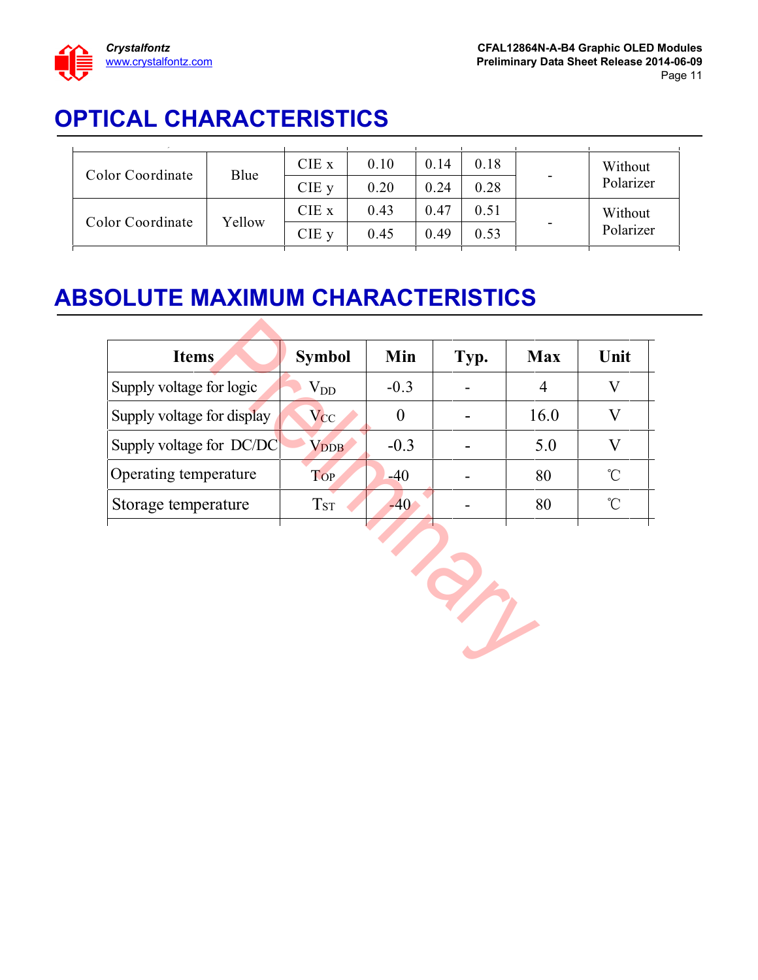

# <span id="page-10-0"></span>**OPTICAL CHARACTERISTICS**

| Color Coordinate | Blue   | CIE x   | 0.10 | 0.14 | 0.18 | $\overline{\phantom{0}}$ | Without              |  |
|------------------|--------|---------|------|------|------|--------------------------|----------------------|--|
|                  |        | $CIE$ y | 0.20 | 0.24 | 0.28 |                          | Polarizer            |  |
| Color Coordinate | Yellow | $CIE$ x | 0.43 | 0.47 | 0.51 | $\overline{\phantom{a}}$ | Without<br>Polarizer |  |
|                  |        | CIE y   | 0.45 | 0.49 | 0.53 |                          |                      |  |
|                  |        |         |      |      |      |                          |                      |  |

# <span id="page-10-1"></span>**ABSOLUTE MAXIMUM CHARACTERISTICS**

| <b>Items</b>               | <b>Symbol</b> | Min      | Typ. | <b>Max</b>     | Unit                 |
|----------------------------|---------------|----------|------|----------------|----------------------|
| Supply voltage for logic   | $\rm V_{DD}$  | $-0.3$   |      | $\overline{4}$ | V                    |
| Supply voltage for display | <b>Vcc</b>    | $\theta$ |      | 16.0           | V                    |
| Supply voltage for DC/DC   | $V_{\rm DDB}$ | $-0.3$   |      | 5.0            | $\rm V$              |
| Operating temperature      | <b>Top</b>    | $-40$    |      | 80             | $\mathrm{C}^{\circ}$ |
| Storage temperature        | <b>TST</b>    | $-40$    |      | 80             | $\int_0^\infty$      |
|                            |               |          |      |                |                      |

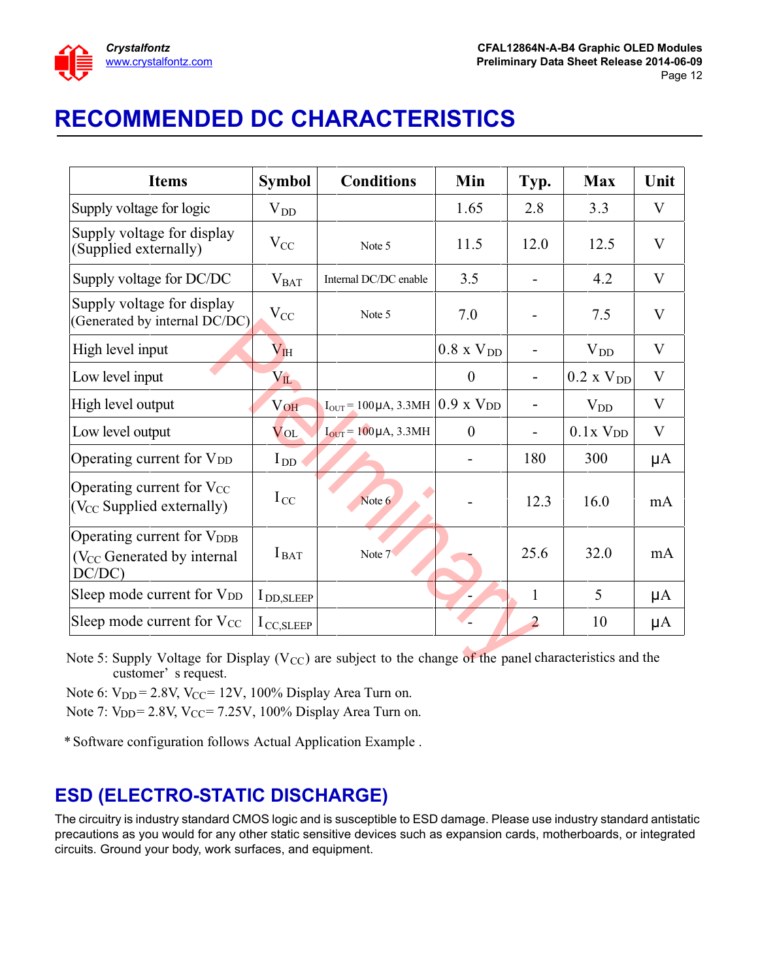

# <span id="page-11-0"></span>**RECOMMENDED DC CHARACTERISTICS**

| $\rm V_{DD}$          |                                                        | 1.65             | 2.8            | 3.3                    | V            |
|-----------------------|--------------------------------------------------------|------------------|----------------|------------------------|--------------|
| $\rm V_{CC}$          | Note 5                                                 | 11.5             | 12.0           | 12.5                   | V            |
| $V_{BAT}$             | Internal DC/DC enable                                  | 3.5              |                | 4.2                    | V            |
| $\rm V_{CC}$          | Note 5                                                 | 7.0              |                | 7.5                    | $\mathbf{V}$ |
| $\rm V_{IH}$          |                                                        | $0.8$ x $V_{DD}$ |                | $V_{DD}$               | V            |
| $\rm V_{II}$          |                                                        | $\mathbf{0}$     |                | $0.2 \times V_{DD}$    | V            |
| $V_{OH}$              | $I_{\text{OUT}} = 100 \,\mu\text{A}, 3.3 \,\text{MHz}$ | $0.9$ x $V_{DD}$ |                | $V_{DD}$               | $\mathbf{V}$ |
| $\sqrt{\text{OL}}$    | $I_{OUT} = 100 \mu A, 3.3 MHz$                         | $\boldsymbol{0}$ |                | $0.1x$ V <sub>DD</sub> | V            |
| $I_{DD}$              |                                                        |                  | 180            | 300                    | $\mu A$      |
| $I_{\rm CC}$          | Note 6                                                 |                  | 12.3           | 16.0                   | mA           |
| $I_{\text{BAT}}$      | Note 7                                                 |                  | 25.6           | 32.0                   | mA           |
| I DD, SLEEP           |                                                        |                  | $\mathbf{1}$   | 5                      | $\mu A$      |
| $I_{\text{CC,SLEEP}}$ |                                                        |                  | $\overline{2}$ | 10                     | $\mu A$      |
|                       |                                                        |                  |                |                        |              |

Note 5: Supply Voltage for Display (V<sub>CC</sub>) are subject to the change of the panel characteristics and the customer' s request.

Note 6:  $V_{DD} = 2.8V$ ,  $V_{CC} = 12V$ , 100% Display Area Turn on.

Note 7:  $V_{DD} = 2.8V$ ,  $V_{CC} = 7.25V$ , 100% Display Area Turn on.

\* Software configuration follows Actual Application Example .

#### **ESD (ELECTRO-STATIC DISCHARGE)**

The circuitry is industry standard CMOS logic and is susceptible to ESD damage. Please use industry standard antistatic precautions as you would for any other static sensitive devices such as expansion cards, motherboards, or integrated circuits. Ground your body, work surfaces, and equipment.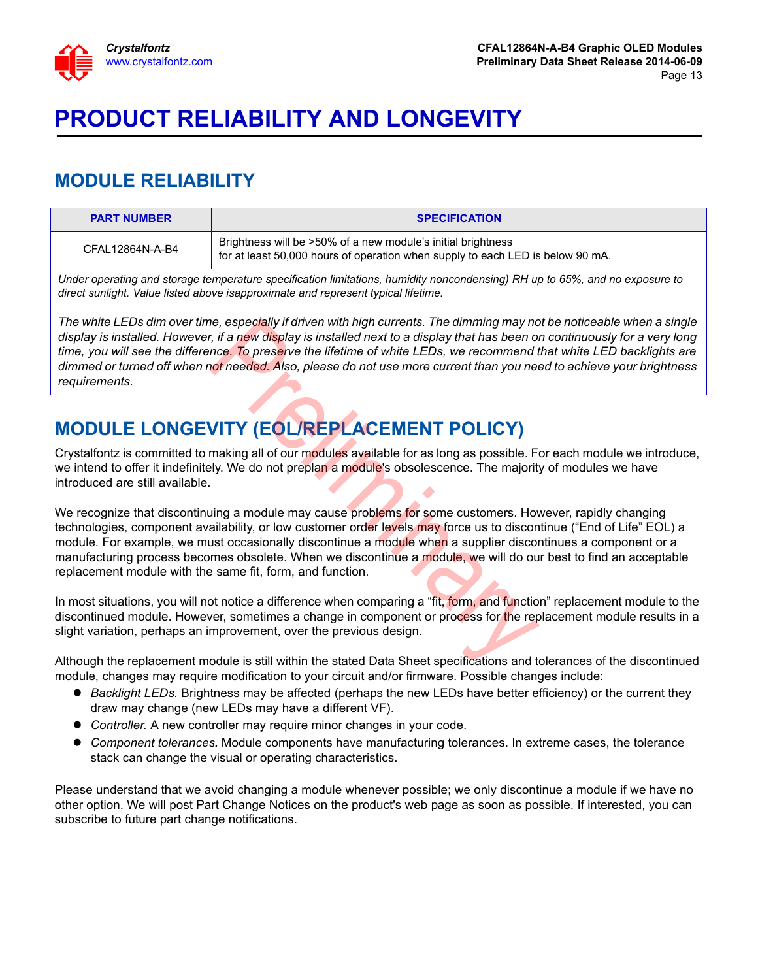

# <span id="page-12-0"></span>**PRODUCT RELIABILITY AND LONGEVITY**

## <span id="page-12-1"></span>**MODULE RELIABILITY**

| <b>PART NUMBER</b> | <b>SPECIFICATION</b>                                                                                                                           |
|--------------------|------------------------------------------------------------------------------------------------------------------------------------------------|
| CFAL12864N-A-B4    | Brightness will be >50% of a new module's initial brightness<br>for at least 50,000 hours of operation when supply to each LED is below 90 mA. |

*Under operating and storage temperature specification limitations, humidity noncondensing) RH up to 65%, and no exposure to direct sunlight. Value listed above isapproximate and represent typical lifetime.*

*The white LEDs dim over time, especially if driven with high currents. The dimming may not be noticeable when a single display is installed. However, if a new display is installed next to a display that has been on continuously for a very long time, you will see the difference. To preserve the lifetime of white LEDs, we recommend that white LED backlights are dimmed or turned off when not needed. Also, please do not use more current than you need to achieve your brightness requirements.*

## <span id="page-12-2"></span>**MODULE LONGEVITY (EOL/REPLACEMENT POLICY)**

Crystalfontz is committed to making all of our modules available for as long as possible. For each module we introduce, we intend to offer it indefinitely. We do not preplan a module's obsolescence. The majority of modules we have introduced are still available.

We recognize that discontinuing a module may cause problems for some customers. However, rapidly changing technologies, component availability, or low customer order levels may force us to discontinue ("End of Life" EOL) a module. For example, we must occasionally discontinue a module when a supplier discontinues a component or a manufacturing process becomes obsolete. When we discontinue a module, we will do our best to find an acceptable replacement module with the same fit, form, and function. The especially if driven with high currents. The dimming may not, if a new display is installed next to a display that has been of nores. To preserve the lifetime of white LEDs, we recommend to the effective of the lifetim

In most situations, you will not notice a difference when comparing a "fit, form, and function" replacement module to the discontinued module. However, sometimes a change in component or process for the replacement module results in a slight variation, perhaps an improvement, over the previous design.

Although the replacement module is still within the stated Data Sheet specifications and tolerances of the discontinued module, changes may require modification to your circuit and/or firmware. Possible changes include:

- *Backlight LEDs.* Brightness may be affected (perhaps the new LEDs have better efficiency) or the current they draw may change (new LEDs may have a different VF).
- *Controller.* A new controller may require minor changes in your code.
- *Component tolerances.* Module components have manufacturing tolerances. In extreme cases, the tolerance stack can change the visual or operating characteristics.

Please understand that we avoid changing a module whenever possible; we only discontinue a module if we have no other option. We will post Part Change Notices on the product's web page as soon as possible. If interested, you can subscribe to future part change notifications.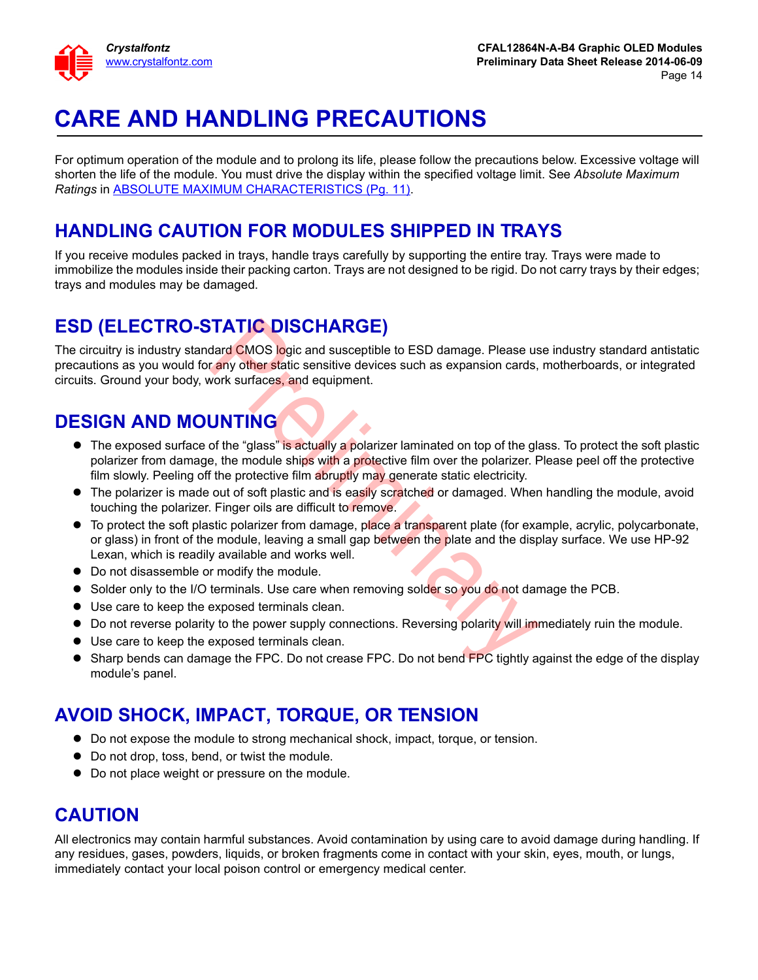

# <span id="page-13-0"></span>**CARE AND HANDLING PRECAUTIONS**

For optimum operation of the module and to prolong its life, please follow the precautions below. Excessive voltage will shorten the life of the module. You must drive the display within the specified voltage limit. See *Absolute Maximum Ratings* in [ABSOLUTE MAXIMUM CHARACTERISTICS \(Pg. 11\).](#page-10-1)

#### **HANDLING CAUTION FOR MODULES SHIPPED IN TRAYS**

If you receive modules packed in trays, handle trays carefully by supporting the entire tray. Trays were made to immobilize the modules inside their packing carton. Trays are not designed to be rigid. Do not carry trays by their edges; trays and modules may be damaged.

#### **ESD (ELECTRO-STATIC DISCHARGE)**

The circuitry is industry standard CMOS logic and susceptible to ESD damage. Please use industry standard antistatic precautions as you would for any other static sensitive devices such as expansion cards, motherboards, or integrated circuits. Ground your body, work surfaces, and equipment.

#### **DESIGN AND MOUNTING**

- The exposed surface of the "glass" is actually a polarizer laminated on top of the glass. To protect the soft plastic polarizer from damage, the module ships with a protective film over the polarizer. Please peel off the protective film slowly. Peeling off the protective film abruptly may generate static electricity.
- The polarizer is made out of soft plastic and is easily scratched or damaged. When handling the module, avoid touching the polarizer. Finger oils are difficult to remove.
- To protect the soft plastic polarizer from damage, place a transparent plate (for example, acrylic, polycarbonate, or glass) in front of the module, leaving a small gap between the plate and the display surface. We use HP-92 Lexan, which is readily available and works well. TATIC DISCHARGE)<br>
dard CMOS logic and susceptible to ESD damage. Please us<br>
arany other static sensitive devices such as expansion cards,<br>
work surfaces, and equipment.<br>
UNTING<br>
of the "glass" is actually a polarizer lamin
- $\bullet$  Do not disassemble or modify the module.
- Solder only to the I/O terminals. Use care when removing solder so you do not damage the PCB.
- Use care to keep the exposed terminals clean.
- $\bullet$  Do not reverse polarity to the power supply connections. Reversing polarity will immediately ruin the module.
- Use care to keep the exposed terminals clean.
- Sharp bends can damage the FPC. Do not crease FPC. Do not bend FPC tightly against the edge of the display module's panel.

#### **AVOID SHOCK, IMPACT, TORQUE, OR TENSION**

- Do not expose the module to strong mechanical shock, impact, torque, or tension.
- Do not drop, toss, bend, or twist the module.
- Do not place weight or pressure on the module.

#### **CAUTION**

All electronics may contain harmful substances. Avoid contamination by using care to avoid damage during handling. If any residues, gases, powders, liquids, or broken fragments come in contact with your skin, eyes, mouth, or lungs, immediately contact your local poison control or emergency medical center.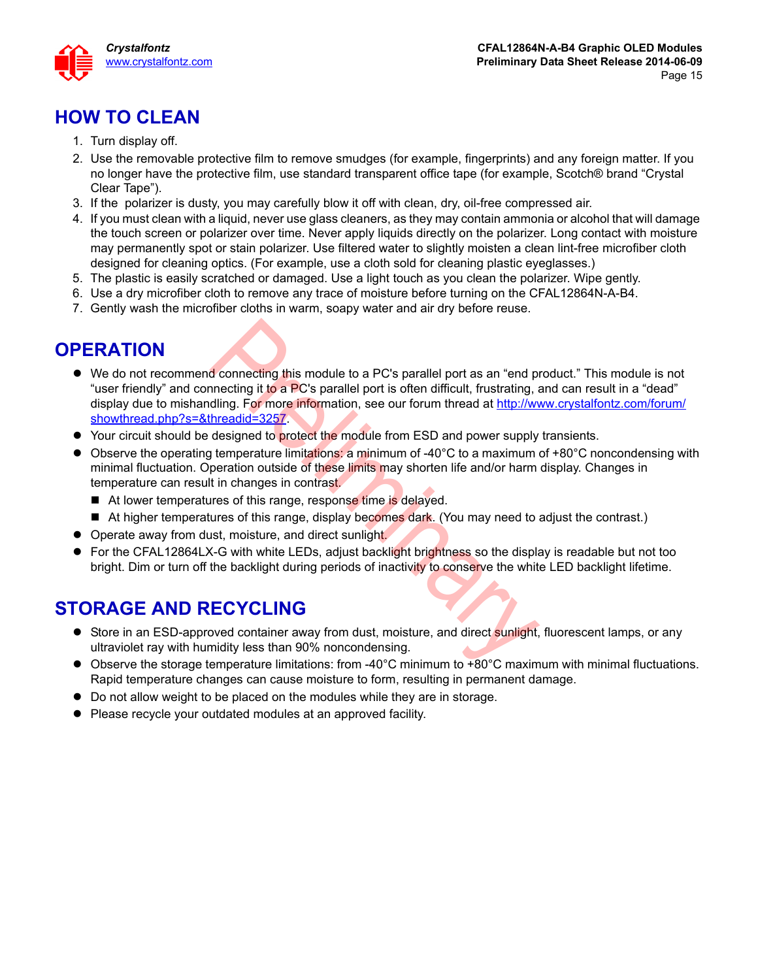

## **HOW TO CLEAN**

- 1. Turn display off.
- 2. Use the removable protective film to remove smudges (for example, fingerprints) and any foreign matter. If you no longer have the protective film, use standard transparent office tape (for example, Scotch® brand "Crystal Clear Tape").
- 3. If the polarizer is dusty, you may carefully blow it off with clean, dry, oil-free compressed air.
- 4. If you must clean with a liquid, never use glass cleaners, as they may contain ammonia or alcohol that will damage the touch screen or polarizer over time. Never apply liquids directly on the polarizer. Long contact with moisture may permanently spot or stain polarizer. Use filtered water to slightly moisten a clean lint-free microfiber cloth designed for cleaning optics. (For example, use a cloth sold for cleaning plastic eyeglasses.)
- 5. The plastic is easily scratched or damaged. Use a light touch as you clean the polarizer. Wipe gently.
- 6. Use a dry microfiber cloth to remove any trace of moisture before turning on the CFAL12864N-A-B4.
- 7. Gently wash the microfiber cloths in warm, soapy water and air dry before reuse.

## **OPERATION**

- We do not recommend connecting this module to a PC's parallel port as an "end product." This module is not "user friendly" and connecting it to a PC's parallel port is often difficult, frustrating, and can result in a "dead" display due to mishandling. For more information, see our forum thread at [http://www.crystalfontz.com/forum/](http://www.crystalfontz.com/forum/showthread.php?s=&threadid=3257) [showthread.php?s=&threadid=3257](http://www.crystalfontz.com/forum/showthread.php?s=&threadid=3257). d connecting this module to a PC's parallel port as an "end precing it to a PC's parallel port is often difficult, frustrating, alding. For more information, see our forum thread at http://www.htreadid=3257.<br>designed to pr
- Your circuit should be designed to protect the module from ESD and power supply transients.
- Observe the operating temperature limitations: a minimum of -40°C to a maximum of +80°C noncondensing with minimal fluctuation. Operation outside of these limits may shorten life and/or harm display. Changes in temperature can result in changes in contrast.
	- At lower temperatures of this range, response time is delayed.
	- At higher temperatures of this range, display becomes dark. (You may need to adjust the contrast.)
- Operate away from dust, moisture, and direct sunlight.
- For the CFAL12864LX-G with white LEDs, adjust backlight brightness so the display is readable but not too bright. Dim or turn off the backlight during periods of inactivity to conserve the white LED backlight lifetime.

#### **STORAGE AND RECYCLING**

- Store in an ESD-approved container away from dust, moisture, and direct sunlight, fluorescent lamps, or any ultraviolet ray with humidity less than 90% noncondensing.
- $\bullet$  Observe the storage temperature limitations: from -40 $\degree$ C minimum to +80 $\degree$ C maximum with minimal fluctuations. Rapid temperature changes can cause moisture to form, resulting in permanent damage.
- Do not allow weight to be placed on the modules while they are in storage.
- Please recycle your outdated modules at an approved facility.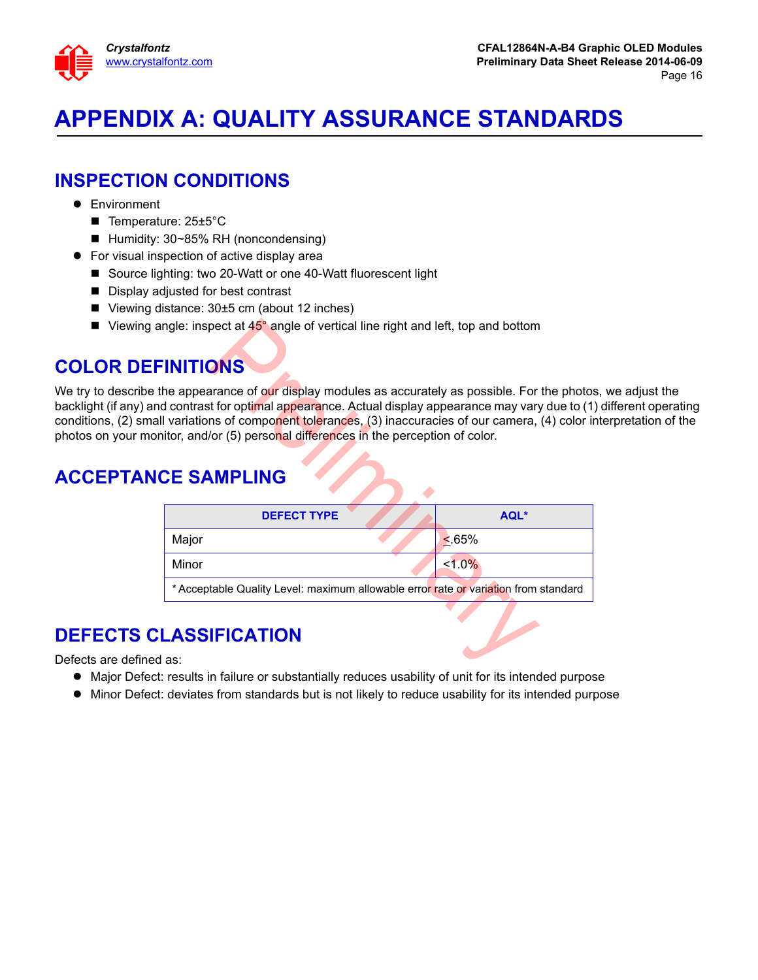

# <span id="page-15-0"></span>**APPENDIX A: QUALITY ASSURANCE STANDARDS**

#### **INSPECTION CONDITIONS**

- **•** Environment
	- Temperature: 25±5°C
	- Humidity: 30~85% RH (noncondensing)
- For visual inspection of active display area
	- Source lighting: two 20-Watt or one 40-Watt fluorescent light
	- Display adjusted for best contrast
	- Viewing distance: 30±5 cm (about 12 inches)
	- Viewing angle: inspect at 45° angle of vertical line right and left, top and bottom

## **COLOR DEFINITIONS**

We try to describe the appearance of our display modules as accurately as possible. For the photos, we adjust the backlight (if any) and contrast for optimal appearance. Actual display appearance may vary due to (1) different operating conditions, (2) small variations of component tolerances, (3) inaccuracies of our camera, (4) color interpretation of the photos on your monitor, and/or (5) personal differences in the perception of color.

## **ACCEPTANCE SAMPLING**

| ngle: inspect at 45° angle of vertical line right and left, top and bottom                                                                                                                                                                                                                                                                       |           |
|--------------------------------------------------------------------------------------------------------------------------------------------------------------------------------------------------------------------------------------------------------------------------------------------------------------------------------------------------|-----------|
| <b>INITIONS</b>                                                                                                                                                                                                                                                                                                                                  |           |
| he appearance of our display modules as accurately as possible. For the photo<br>d contrast for optimal appearance. Actual display appearance may vary due to (1<br>I variations of component tolerances, (3) inaccuracies of our camera, (4) color i<br>itor, and/or (5) personal differences in the perception of color.<br><b>CE SAMPLING</b> |           |
| <b>DEFECT TYPE</b>                                                                                                                                                                                                                                                                                                                               | AQL*      |
| Major                                                                                                                                                                                                                                                                                                                                            | < 65%     |
| Minor                                                                                                                                                                                                                                                                                                                                            | $< 1.0\%$ |
| * Acceptable Quality Level: maximum allowable error rate or variation from standard                                                                                                                                                                                                                                                              |           |
| <b>LASSIFICATION</b>                                                                                                                                                                                                                                                                                                                             |           |
|                                                                                                                                                                                                                                                                                                                                                  |           |
| as:                                                                                                                                                                                                                                                                                                                                              |           |

#### **DEFECTS CLASSIFICATION**

Defects are defined as:

- Major Defect: results in failure or substantially reduces usability of unit for its intended purpose
- Minor Defect: deviates from standards but is not likely to reduce usability for its intended purpose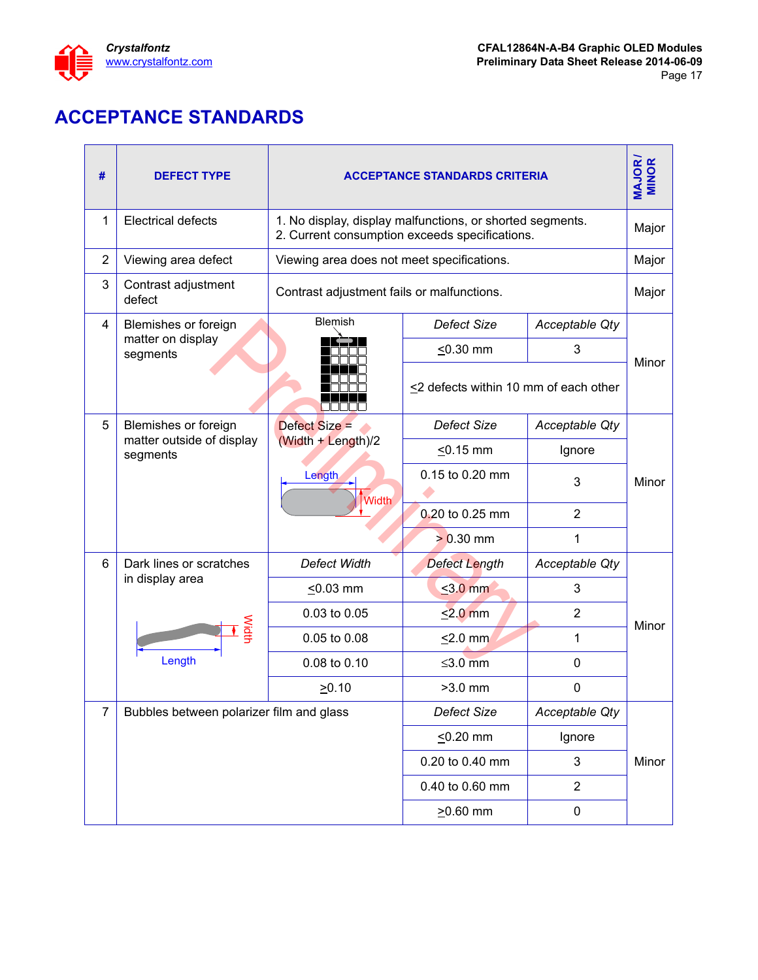

## **ACCEPTANCE STANDARDS**

| #              | <b>DEFECT TYPE</b>                       | <b>ACCEPTANCE STANDARDS CRITERIA</b>       |                                                                                                             |                |       |  |  |
|----------------|------------------------------------------|--------------------------------------------|-------------------------------------------------------------------------------------------------------------|----------------|-------|--|--|
| $\mathbf{1}$   | <b>Electrical defects</b>                |                                            | 1. No display, display malfunctions, or shorted segments.<br>2. Current consumption exceeds specifications. |                |       |  |  |
| 2              | Viewing area defect                      | Viewing area does not meet specifications. |                                                                                                             |                | Major |  |  |
| 3              | Contrast adjustment<br>defect            | Contrast adjustment fails or malfunctions. |                                                                                                             |                | Major |  |  |
| 4              | Blemishes or foreign                     | <b>Blemish</b>                             | <b>Defect Size</b>                                                                                          | Acceptable Qty |       |  |  |
|                | matter on display<br>segments            |                                            | $\leq$ 0.30 mm                                                                                              | 3              | Minor |  |  |
|                |                                          |                                            | $\leq$ 2 defects within 10 mm of each other                                                                 |                |       |  |  |
| 5              | Blemishes or foreign                     | Defect Size =                              | <b>Defect Size</b>                                                                                          | Acceptable Qty |       |  |  |
|                | matter outside of display<br>segments    | (Width + Length)/2                         | $\leq$ 0.15 mm                                                                                              | Ignore         |       |  |  |
|                |                                          | Length<br>Width                            | 0.15 to 0.20 mm                                                                                             | 3              | Minor |  |  |
|                |                                          |                                            | 0.20 to 0.25 mm                                                                                             | $\overline{2}$ |       |  |  |
|                |                                          |                                            | $> 0.30$ mm                                                                                                 | 1              |       |  |  |
| 6              | Dark lines or scratches                  | <b>Defect Width</b>                        | <b>Defect Length</b>                                                                                        | Acceptable Qty |       |  |  |
|                | in display area                          | $\leq$ 0.03 mm                             | $\leq$ 3.0 mm                                                                                               | 3              |       |  |  |
|                |                                          | 0.03 to 0.05                               | $\leq$ 2.0 mm                                                                                               | $\overline{2}$ | Minor |  |  |
|                | Width                                    | 0.05 to 0.08                               | $\leq$ 2.0 mm                                                                                               | 1              |       |  |  |
|                | Length                                   | 0.08 to 0.10                               | $\leq$ 3.0 mm                                                                                               | 0              |       |  |  |
|                |                                          | $\geq 0.10$                                | $>3.0$ mm                                                                                                   | 0              |       |  |  |
| $\overline{7}$ | Bubbles between polarizer film and glass |                                            | <b>Defect Size</b>                                                                                          | Acceptable Qty |       |  |  |
|                |                                          |                                            | $\leq$ 0.20 mm                                                                                              | Ignore         |       |  |  |
|                |                                          |                                            | 0.20 to 0.40 mm                                                                                             | 3              | Minor |  |  |
|                |                                          |                                            | 0.40 to 0.60 mm                                                                                             | $\overline{2}$ |       |  |  |
|                |                                          |                                            | $20.60$ mm                                                                                                  | $\pmb{0}$      |       |  |  |